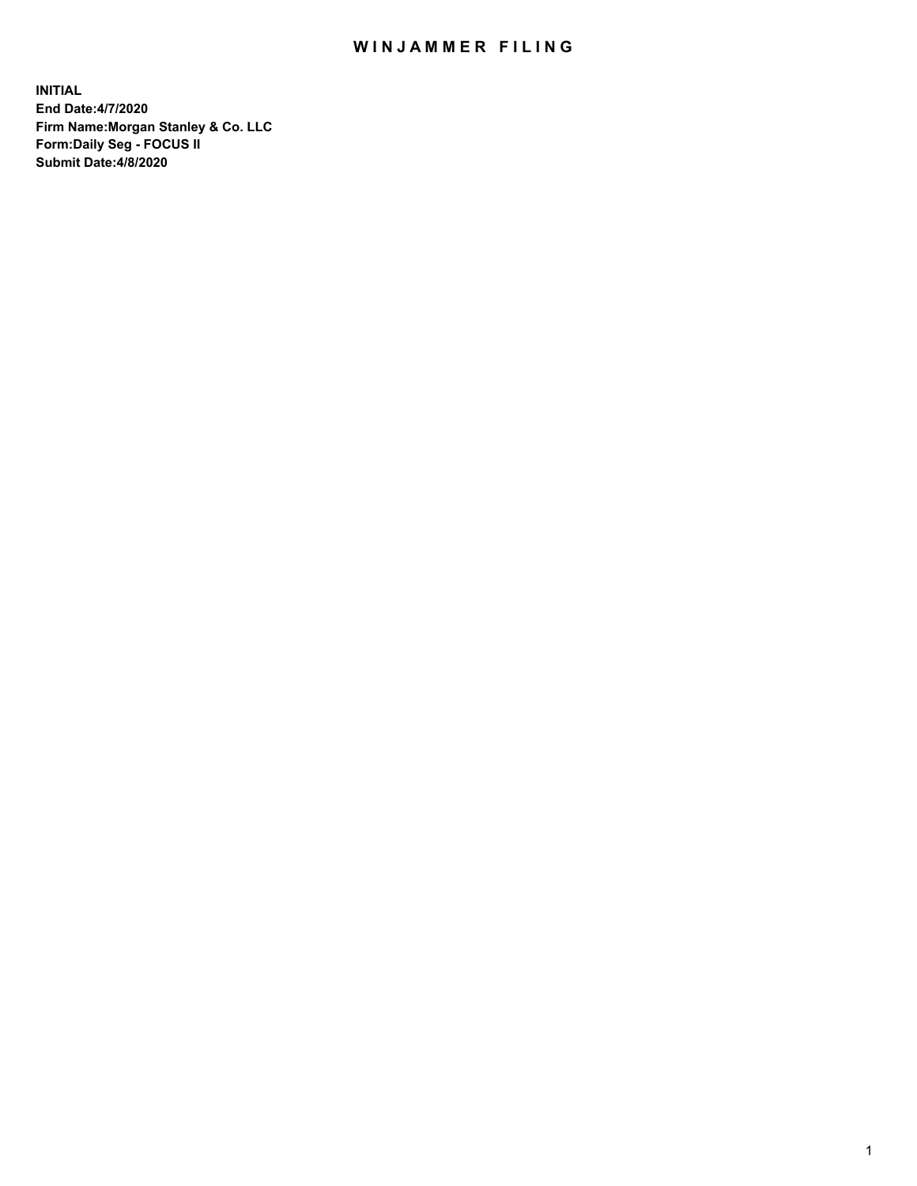## WIN JAMMER FILING

**INITIAL End Date:4/7/2020 Firm Name:Morgan Stanley & Co. LLC Form:Daily Seg - FOCUS II Submit Date:4/8/2020**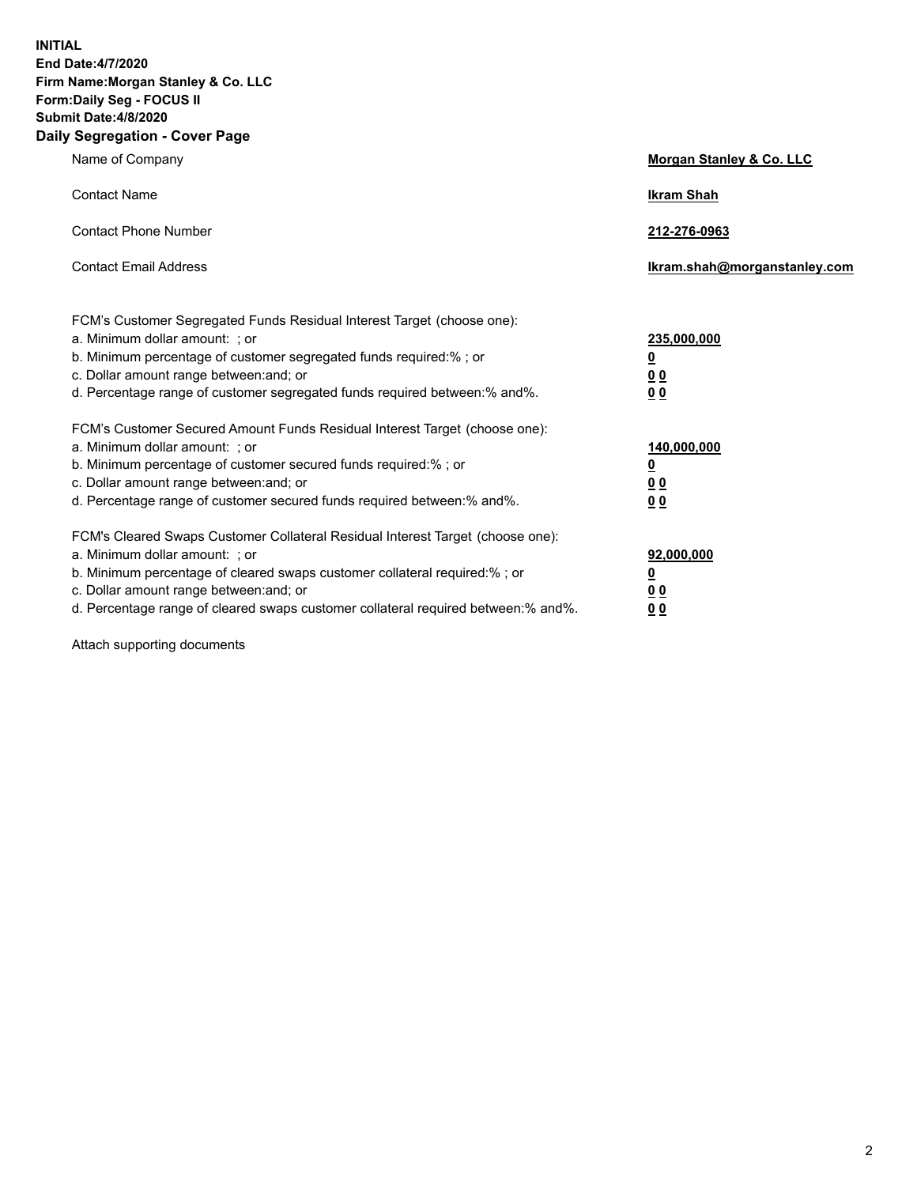**INITIAL End Date:4/7/2020 Firm Name:Morgan Stanley & Co. LLC Form:Daily Seg - FOCUS II Submit Date:4/8/2020 Daily Segregation - Cover Page**

| Name of Company                                                                   | Morgan Stanley & Co. LLC     |
|-----------------------------------------------------------------------------------|------------------------------|
| <b>Contact Name</b>                                                               | <b>Ikram Shah</b>            |
| <b>Contact Phone Number</b>                                                       | 212-276-0963                 |
| <b>Contact Email Address</b>                                                      | Ikram.shah@morganstanley.com |
| FCM's Customer Segregated Funds Residual Interest Target (choose one):            |                              |
| a. Minimum dollar amount: ; or                                                    | 235,000,000                  |
| b. Minimum percentage of customer segregated funds required:%; or                 | <u>0</u>                     |
| c. Dollar amount range between: and; or                                           | <u>00</u>                    |
| d. Percentage range of customer segregated funds required between:% and%.         | 0 Q                          |
| FCM's Customer Secured Amount Funds Residual Interest Target (choose one):        |                              |
| a. Minimum dollar amount: ; or                                                    | 140,000,000                  |
| b. Minimum percentage of customer secured funds required:%; or                    | <u>0</u>                     |
| c. Dollar amount range between: and; or                                           | <u>0 0</u>                   |
| d. Percentage range of customer secured funds required between: % and %.          | 0 Q                          |
| FCM's Cleared Swaps Customer Collateral Residual Interest Target (choose one):    |                              |
| a. Minimum dollar amount: ; or                                                    | 92,000,000                   |
| b. Minimum percentage of cleared swaps customer collateral required:% ; or        | <u>0</u>                     |
| c. Dollar amount range between: and; or                                           | 0 Q                          |
| d. Percentage range of cleared swaps customer collateral required between:% and%. | 0 <sub>0</sub>               |

Attach supporting documents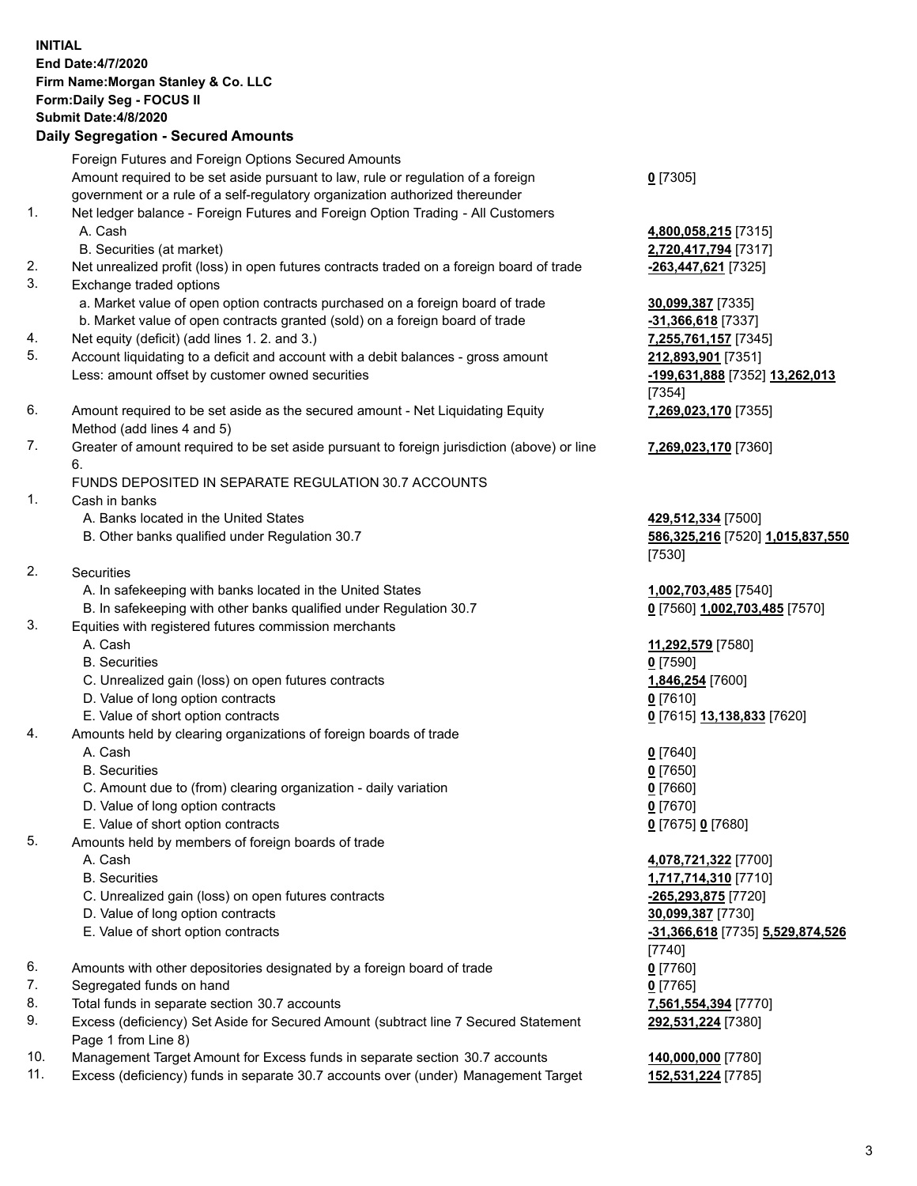| <b>INITIAL</b> | End Date: 4/7/2020<br>Firm Name: Morgan Stanley & Co. LLC<br>Form: Daily Seg - FOCUS II<br><b>Submit Date: 4/8/2020</b><br><b>Daily Segregation - Secured Amounts</b> |                                                                  |
|----------------|-----------------------------------------------------------------------------------------------------------------------------------------------------------------------|------------------------------------------------------------------|
|                | Foreign Futures and Foreign Options Secured Amounts                                                                                                                   |                                                                  |
|                | Amount required to be set aside pursuant to law, rule or regulation of a foreign<br>government or a rule of a self-regulatory organization authorized thereunder      | $0$ [7305]                                                       |
| 1.             | Net ledger balance - Foreign Futures and Foreign Option Trading - All Customers<br>A. Cash                                                                            | 4,800,058,215 [7315]                                             |
|                | B. Securities (at market)                                                                                                                                             | 2,720,417,794 [7317]                                             |
| 2.<br>3.       | Net unrealized profit (loss) in open futures contracts traded on a foreign board of trade<br>Exchange traded options                                                  | -263,447,621 [7325]                                              |
|                | a. Market value of open option contracts purchased on a foreign board of trade                                                                                        | 30,099,387 [7335]                                                |
|                | b. Market value of open contracts granted (sold) on a foreign board of trade                                                                                          | $-31,366,618$ [7337]                                             |
| 4.             | Net equity (deficit) (add lines 1. 2. and 3.)                                                                                                                         | 7,255,761,157 [7345]                                             |
| 5.             | Account liquidating to a deficit and account with a debit balances - gross amount<br>Less: amount offset by customer owned securities                                 | 212,893,901 [7351]<br>-199,631,888 [7352] 13,262,013<br>[7354]   |
| 6.             | Amount required to be set aside as the secured amount - Net Liquidating Equity<br>Method (add lines 4 and 5)                                                          | 7,269,023,170 [7355]                                             |
| 7.             | Greater of amount required to be set aside pursuant to foreign jurisdiction (above) or line<br>6.                                                                     | 7,269,023,170 [7360]                                             |
|                | FUNDS DEPOSITED IN SEPARATE REGULATION 30.7 ACCOUNTS                                                                                                                  |                                                                  |
| 1.             | Cash in banks                                                                                                                                                         |                                                                  |
|                | A. Banks located in the United States<br>B. Other banks qualified under Regulation 30.7                                                                               | 429,512,334 [7500]<br>586,325,216 [7520] 1,015,837,550<br>[7530] |
| 2.             | <b>Securities</b>                                                                                                                                                     |                                                                  |
|                | A. In safekeeping with banks located in the United States                                                                                                             | 1,002,703,485 [7540]                                             |
|                | B. In safekeeping with other banks qualified under Regulation 30.7                                                                                                    | 0 [7560] 1,002,703,485 [7570]                                    |
| 3.             | Equities with registered futures commission merchants                                                                                                                 |                                                                  |
|                | A. Cash                                                                                                                                                               | 11,292,579 [7580]                                                |
|                | <b>B.</b> Securities                                                                                                                                                  | $0$ [7590]                                                       |
|                | C. Unrealized gain (loss) on open futures contracts                                                                                                                   | 1,846,254 [7600]                                                 |
|                | D. Value of long option contracts                                                                                                                                     | $0$ [7610]                                                       |
|                | E. Value of short option contracts                                                                                                                                    | 0 [7615] 13,138,833 [7620]                                       |
| 4.             | Amounts held by clearing organizations of foreign boards of trade                                                                                                     |                                                                  |
|                | A. Cash                                                                                                                                                               | $0$ [7640]                                                       |
|                | <b>B.</b> Securities                                                                                                                                                  | $0$ [7650]                                                       |
|                | C. Amount due to (from) clearing organization - daily variation                                                                                                       | $0$ [7660]                                                       |
|                | D. Value of long option contracts                                                                                                                                     | $0$ [7670]                                                       |
|                | E. Value of short option contracts                                                                                                                                    | 0 [7675] 0 [7680]                                                |
| 5.             | Amounts held by members of foreign boards of trade                                                                                                                    |                                                                  |
|                | A. Cash                                                                                                                                                               | 4,078,721,322 [7700]                                             |
|                | <b>B.</b> Securities                                                                                                                                                  | 1,717,714,310 [7710]                                             |
|                | C. Unrealized gain (loss) on open futures contracts                                                                                                                   | -265,293,875 [7720]                                              |
|                | D. Value of long option contracts                                                                                                                                     | 30,099,387 [7730]                                                |
|                | E. Value of short option contracts                                                                                                                                    | -31,366,618 [7735] 5,529,874,526                                 |
|                |                                                                                                                                                                       | $[7740]$                                                         |
| 6.             | Amounts with other depositories designated by a foreign board of trade                                                                                                | $0$ [7760]                                                       |
| 7.             | Segregated funds on hand                                                                                                                                              | $0$ [7765]                                                       |
| 8.             | Total funds in separate section 30.7 accounts                                                                                                                         | 7,561,554,394 [7770]                                             |
| 9.             | Excess (deficiency) Set Aside for Secured Amount (subtract line 7 Secured Statement                                                                                   | 292,531,224 [7380]                                               |
| 10.            | Page 1 from Line 8)<br>Management Target Amount for Excess funds in separate section 30.7 accounts                                                                    | 140,000,000 [7780]                                               |
|                |                                                                                                                                                                       |                                                                  |

10. Management Target Amount for Excess funds in separate section 30.7 accounts **140,000,000** [7780] 11. Excess (deficiency) funds in separate 30.7 accounts over (under) Management Target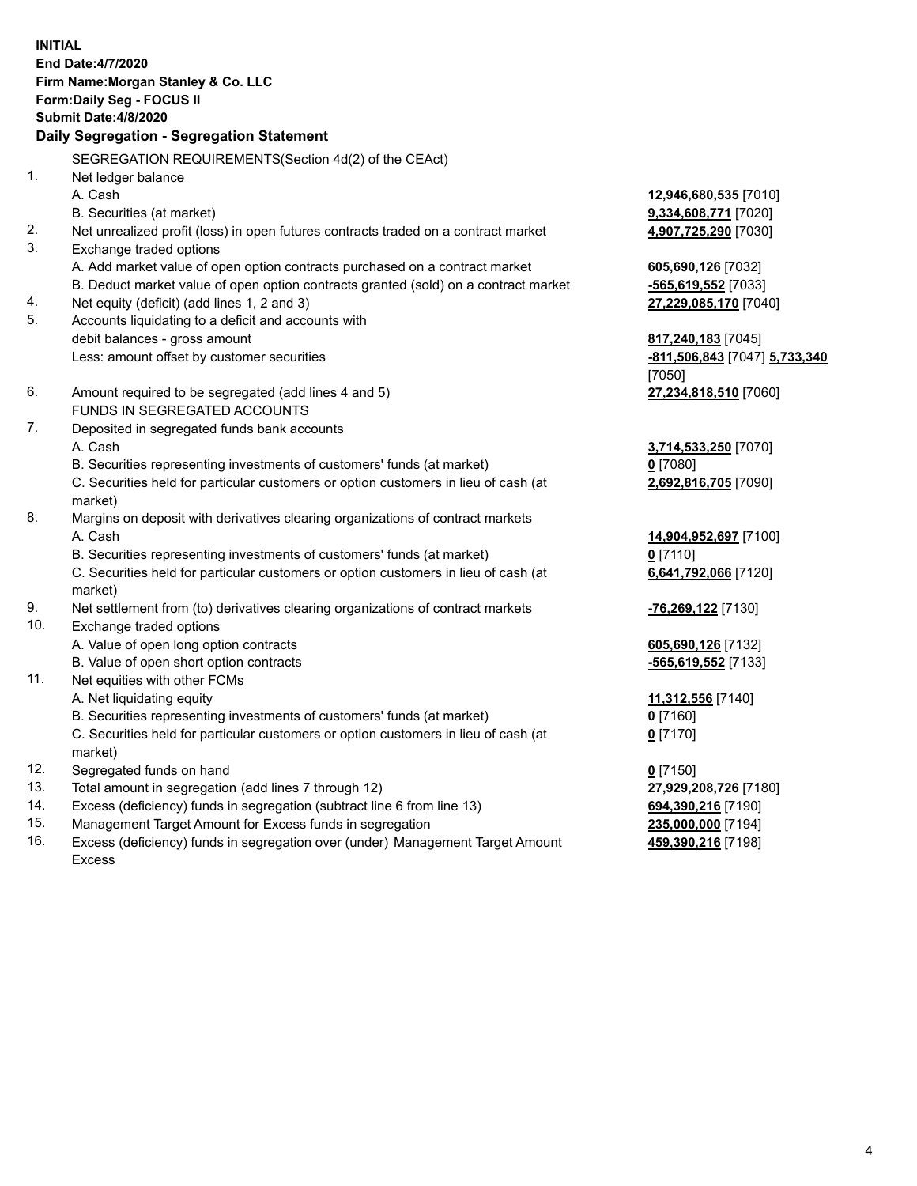**INITIAL End Date:4/7/2020 Firm Name:Morgan Stanley & Co. LLC Form:Daily Seg - FOCUS II Submit Date:4/8/2020 Daily Segregation - Segregation Statement** SEGREGATION REQUIREMENTS(Section 4d(2) of the CEAct) 1. Net ledger balance A. Cash **12,946,680,535** [7010] B. Securities (at market) **9,334,608,771** [7020] 2. Net unrealized profit (loss) in open futures contracts traded on a contract market **4,907,725,290** [7030] 3. Exchange traded options A. Add market value of open option contracts purchased on a contract market **605,690,126** [7032] B. Deduct market value of open option contracts granted (sold) on a contract market **-565,619,552** [7033] 4. Net equity (deficit) (add lines 1, 2 and 3) **27,229,085,170** [7040] 5. Accounts liquidating to a deficit and accounts with debit balances - gross amount **817,240,183** [7045] Less: amount offset by customer securities **-811,506,843** [7047] **5,733,340** [7050] 6. Amount required to be segregated (add lines 4 and 5) **27,234,818,510** [7060] FUNDS IN SEGREGATED ACCOUNTS 7. Deposited in segregated funds bank accounts A. Cash **3,714,533,250** [7070] B. Securities representing investments of customers' funds (at market) **0** [7080] C. Securities held for particular customers or option customers in lieu of cash (at market) **2,692,816,705** [7090] 8. Margins on deposit with derivatives clearing organizations of contract markets A. Cash **14,904,952,697** [7100] B. Securities representing investments of customers' funds (at market) **0** [7110] C. Securities held for particular customers or option customers in lieu of cash (at market) **6,641,792,066** [7120] 9. Net settlement from (to) derivatives clearing organizations of contract markets **-76,269,122** [7130] 10. Exchange traded options A. Value of open long option contracts **605,690,126** [7132] B. Value of open short option contracts **-565,619,552** [7133] 11. Net equities with other FCMs A. Net liquidating equity **11,312,556** [7140] B. Securities representing investments of customers' funds (at market) **0** [7160] C. Securities held for particular customers or option customers in lieu of cash (at market) **0** [7170] 12. Segregated funds on hand **0** [7150] 13. Total amount in segregation (add lines 7 through 12) **27,929,208,726** [7180] 14. Excess (deficiency) funds in segregation (subtract line 6 from line 13) **694,390,216** [7190] 15. Management Target Amount for Excess funds in segregation **235,000,000** [7194] 16. Excess (deficiency) funds in segregation over (under) Management Target Amount **459,390,216** [7198]

Excess